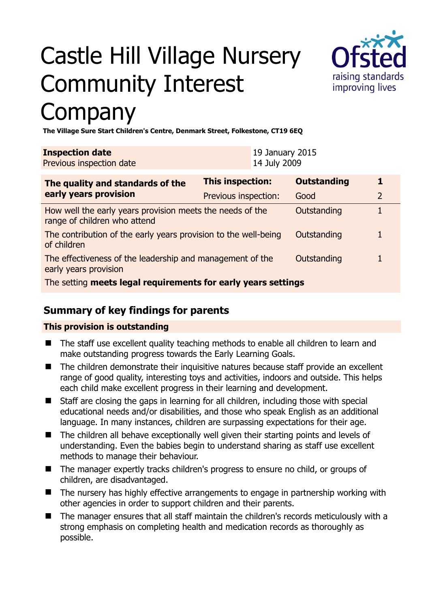# Castle Hill Village Nursery Community Interest Company



**The Village Sure Start Children's Centre, Denmark Street, Folkestone, CT19 6EQ** 

| <b>Inspection date</b><br>Previous inspection date                                        |                         | 19 January 2015<br>14 July 2009 |                    |                |
|-------------------------------------------------------------------------------------------|-------------------------|---------------------------------|--------------------|----------------|
| The quality and standards of the<br>early years provision                                 | <b>This inspection:</b> |                                 | <b>Outstanding</b> |                |
|                                                                                           | Previous inspection:    |                                 | Good               | $\overline{2}$ |
| How well the early years provision meets the needs of the<br>range of children who attend |                         |                                 | Outstanding        |                |
| The contribution of the early years provision to the well-being<br>of children            |                         |                                 | Outstanding        |                |
| The effectiveness of the leadership and management of the<br>early years provision        |                         |                                 | Outstanding        |                |
| The setting meets legal requirements for early years settings                             |                         |                                 |                    |                |

# **Summary of key findings for parents**

#### **This provision is outstanding**

- The staff use excellent quality teaching methods to enable all children to learn and make outstanding progress towards the Early Learning Goals.
- The children demonstrate their inquisitive natures because staff provide an excellent range of good quality, interesting toys and activities, indoors and outside. This helps each child make excellent progress in their learning and development.
- Staff are closing the gaps in learning for all children, including those with special educational needs and/or disabilities, and those who speak English as an additional language. In many instances, children are surpassing expectations for their age.
- The children all behave exceptionally well given their starting points and levels of understanding. Even the babies begin to understand sharing as staff use excellent methods to manage their behaviour.
- The manager expertly tracks children's progress to ensure no child, or groups of children, are disadvantaged.
- The nursery has highly effective arrangements to engage in partnership working with other agencies in order to support children and their parents.
- The manager ensures that all staff maintain the children's records meticulously with a strong emphasis on completing health and medication records as thoroughly as possible.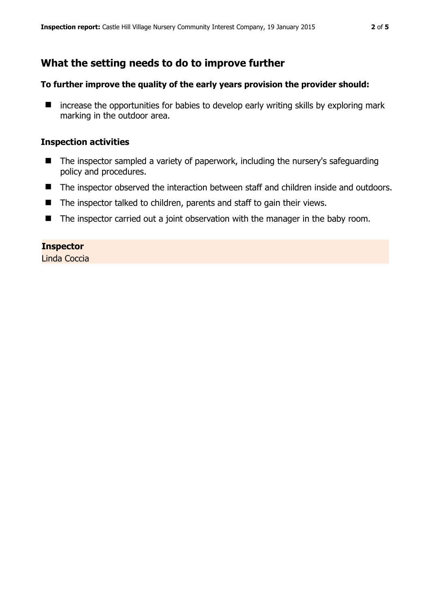# **What the setting needs to do to improve further**

#### **To further improve the quality of the early years provision the provider should:**

 $\blacksquare$  increase the opportunities for babies to develop early writing skills by exploring mark marking in the outdoor area.

#### **Inspection activities**

- The inspector sampled a variety of paperwork, including the nursery's safeguarding policy and procedures.
- The inspector observed the interaction between staff and children inside and outdoors.
- The inspector talked to children, parents and staff to gain their views.
- The inspector carried out a joint observation with the manager in the baby room.

### **Inspector**

Linda Coccia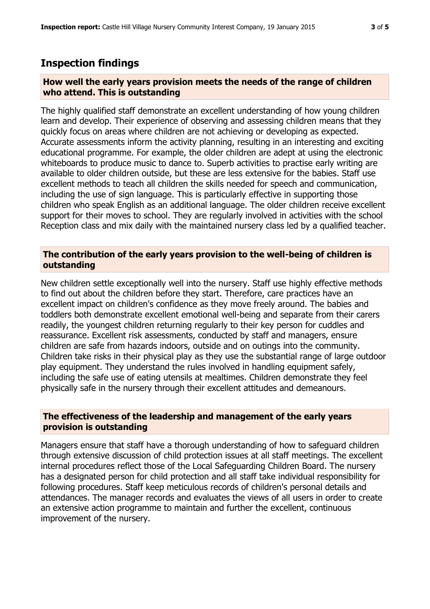## **Inspection findings**

#### **How well the early years provision meets the needs of the range of children who attend. This is outstanding**

The highly qualified staff demonstrate an excellent understanding of how young children learn and develop. Their experience of observing and assessing children means that they quickly focus on areas where children are not achieving or developing as expected. Accurate assessments inform the activity planning, resulting in an interesting and exciting educational programme. For example, the older children are adept at using the electronic whiteboards to produce music to dance to. Superb activities to practise early writing are available to older children outside, but these are less extensive for the babies. Staff use excellent methods to teach all children the skills needed for speech and communication, including the use of sign language. This is particularly effective in supporting those children who speak English as an additional language. The older children receive excellent support for their moves to school. They are regularly involved in activities with the school Reception class and mix daily with the maintained nursery class led by a qualified teacher.

#### **The contribution of the early years provision to the well-being of children is outstanding**

New children settle exceptionally well into the nursery. Staff use highly effective methods to find out about the children before they start. Therefore, care practices have an excellent impact on children's confidence as they move freely around. The babies and toddlers both demonstrate excellent emotional well-being and separate from their carers readily, the youngest children returning regularly to their key person for cuddles and reassurance. Excellent risk assessments, conducted by staff and managers, ensure children are safe from hazards indoors, outside and on outings into the community. Children take risks in their physical play as they use the substantial range of large outdoor play equipment. They understand the rules involved in handling equipment safely, including the safe use of eating utensils at mealtimes. Children demonstrate they feel physically safe in the nursery through their excellent attitudes and demeanours.

#### **The effectiveness of the leadership and management of the early years provision is outstanding**

Managers ensure that staff have a thorough understanding of how to safeguard children through extensive discussion of child protection issues at all staff meetings. The excellent internal procedures reflect those of the Local Safeguarding Children Board. The nursery has a designated person for child protection and all staff take individual responsibility for following procedures. Staff keep meticulous records of children's personal details and attendances. The manager records and evaluates the views of all users in order to create an extensive action programme to maintain and further the excellent, continuous improvement of the nursery.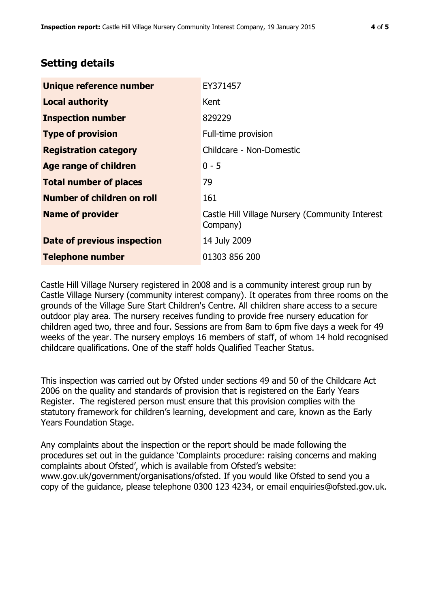# **Setting details**

| Unique reference number            | EY371457                                                    |
|------------------------------------|-------------------------------------------------------------|
| <b>Local authority</b>             | Kent                                                        |
| <b>Inspection number</b>           | 829229                                                      |
| <b>Type of provision</b>           | Full-time provision                                         |
| <b>Registration category</b>       | Childcare - Non-Domestic                                    |
| Age range of children              | $0 - 5$                                                     |
| <b>Total number of places</b>      | 79                                                          |
| Number of children on roll         | 161                                                         |
| <b>Name of provider</b>            | Castle Hill Village Nursery (Community Interest<br>Company) |
| <b>Date of previous inspection</b> | 14 July 2009                                                |
| <b>Telephone number</b>            | 01303 856 200                                               |

Castle Hill Village Nursery registered in 2008 and is a community interest group run by Castle Village Nursery (community interest company). It operates from three rooms on the grounds of the Village Sure Start Children's Centre. All children share access to a secure outdoor play area. The nursery receives funding to provide free nursery education for children aged two, three and four. Sessions are from 8am to 6pm five days a week for 49 weeks of the year. The nursery employs 16 members of staff, of whom 14 hold recognised childcare qualifications. One of the staff holds Qualified Teacher Status.

This inspection was carried out by Ofsted under sections 49 and 50 of the Childcare Act 2006 on the quality and standards of provision that is registered on the Early Years Register. The registered person must ensure that this provision complies with the statutory framework for children's learning, development and care, known as the Early Years Foundation Stage.

Any complaints about the inspection or the report should be made following the procedures set out in the guidance 'Complaints procedure: raising concerns and making complaints about Ofsted', which is available from Ofsted's website: www.gov.uk/government/organisations/ofsted. If you would like Ofsted to send you a copy of the guidance, please telephone 0300 123 4234, or email enquiries@ofsted.gov.uk.